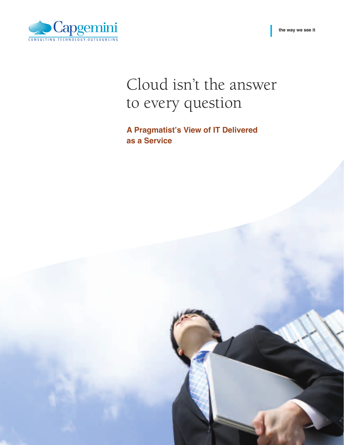**the way we see it**



# Cloud isn't the answer to every question

**A Pragmatist's View of IT Delivered as a Service**

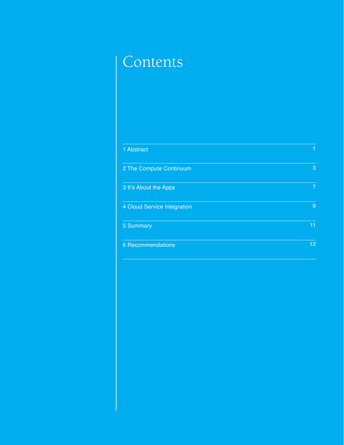## Contents

| 1 Abstract                  |                |
|-----------------------------|----------------|
|                             |                |
| 2 The Compute Continuum     | 3              |
|                             | $\overline{7}$ |
| 3 It's About the Apps       |                |
| 4 Cloud Service Integration | 9              |
|                             |                |
| 5 Summary                   | 11             |
|                             | 12             |
| <b>6 Recommendations</b>    |                |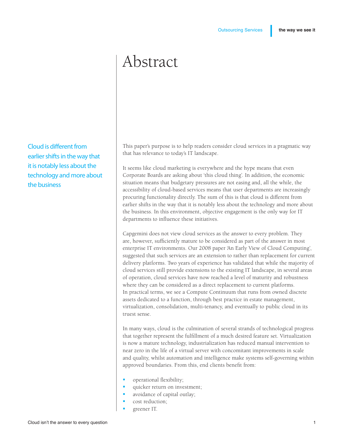### Abstract

Cloud is different from earlier shifts in the way that it is notably less about the technology and more about the business

This paper's purpose is to help readers consider cloud services in a pragmatic way that has relevance to today's IT landscape.

It seems like cloud marketing is everywhere and the hype means that even Corporate Boards are asking about 'this cloud thing'. In addition, the economic situation means that budgetary pressures are not easing and, all the while, the accessibility of cloud-based services means that user departments are increasingly procuring functionality directly. The sum of this is that cloud is different from earlier shifts in the way that it is notably less about the technology and more about the business. In this environment, objective engagement is the only way for IT departments to influence these initiatives.

Capgemini does not view cloud services as the answer to every problem. They are, however, sufficiently mature to be considered as part of the answer in most enterprise IT environments. Our 2008 paper 'An Early View of Cloud Computing', suggested that such services are an extension to rather than replacement for current delivery platforms. Two years of experience has validated that while the majority of cloud services still provide extensions to the existing IT landscape, in several areas of operation, cloud services have now reached a level of maturity and robustness where they can be considered as a direct replacement to current platforms. In practical terms, we see a Compute Continuum that runs from owned discrete assets dedicated to a function, through best practice in estate management, virtualization, consolidation, multi-tenancy, and eventually to public cloud in its truest sense.

In many ways, cloud is the culmination of several strands of technological progress that together represent the fulfillment of a much desired feature set. Virtualization is now a mature technology, industrialization has reduced manual intervention to near zero in the life of a virtual server with concomitant improvements in scale and quality, whilst automation and intelligence make systems self-governing within approved boundaries. From this, end clients benefit from:

- operational flexibility;
- quicker return on investment;
- avoidance of capital outlay;
- cost reduction;
- greener IT.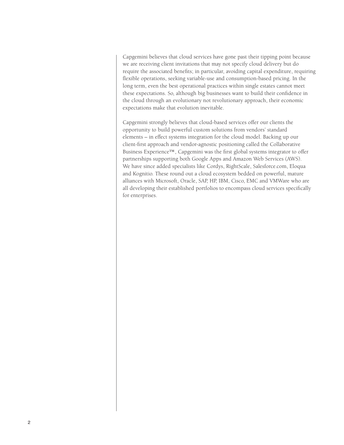Capgemini believes that cloud services have gone past their tipping point because we are receiving client invitations that may not specify cloud delivery but do require the associated benefits; in particular, avoiding capital expenditure, requiring flexible operations, seeking variable-use and consumption-based pricing. In the long term, even the best operational practices within single estates cannot meet these expectations. So, although big businesses want to build their confidence in the cloud through an evolutionary not revolutionary approach, their economic expectations make that evolution inevitable.

Capgemini strongly believes that cloud-based services offer our clients the opportunity to build powerful custom solutions from vendors' standard elements – in effect systems integration for the cloud model. Backing up our client-first approach and vendor-agnostic positioning called the Collaborative Business Experience™, Capgemini was the first global systems integrator to offer partnerships supporting both Google Apps and Amazon Web Services (AWS). We have since added specialists like Cordys, RightScale, Salesforce.com, Eloqua and Kognitio. These round out a cloud ecosystem bedded on powerful, mature alliances with Microsoft, Oracle, SAP, HP, IBM, Cisco, EMC and VMWare who are all developing their established portfolios to encompass cloud services specifically for enterprises.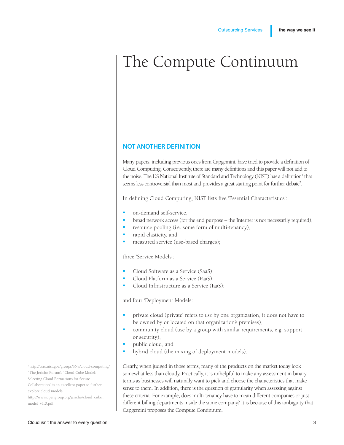### The Compute Continuum

#### **Not another definition**

Many papers, including previous ones from Capgemini, have tried to provide a definition of Cloud Computing. Consequently, there are many definitions and this paper will not add to the noise. The US National Institute of Standard and Technology (NIST) has a definition<sup>1</sup> that seems less controversial than most and provides a great starting point for further debate<sup>2</sup>.

In defining Cloud Computing, NIST lists five 'Essential Characteristics':

- on-demand self-service.
- broad network access (for the end purpose the Internet is not necessarily required),
- resource pooling (i.e. some form of multi-tenancy),
- rapid elasticity, and
- measured service (use-based charges);

three 'Service Models':

- Cloud Software as a Service (SaaS),
- Cloud Platform as a Service (PaaS),
- Cloud Infrastructure as a Service (IaaS);

and four 'Deployment Models:

- private cloud (private' refers to *use* by one organization, it does not have to be owned by or located on that organization's premises),
- community cloud (use by a group with similar requirements, e.g. support or security),
- public cloud, and
- hybrid cloud (the mixing of deployment models).

Clearly, when judged in those terms, many of the products on the market today look somewhat less than cloudy. Practically, it is unhelpful to make any assessment in binary terms as businesses will naturally want to pick and choose the characteristics that make sense to them. In addition, there is the question of granularity when assessing against these criteria. For example, does multi-tenancy have to mean different companies or just different billing departments inside the same company? It is because of this ambiguity that Capgemini proposes the Compute Continuum.

1 http://csrc.nist.gov/groups/SNS/cloud-computing/ 2 The Jericho Forum's "Cloud Cube Model: Selecting Cloud Formations for Secure Collaboration" is an excellent paper to further explore cloud models.

http://www.opengroup.org/jericho/cloud\_cube\_ model\_v1.0.pdf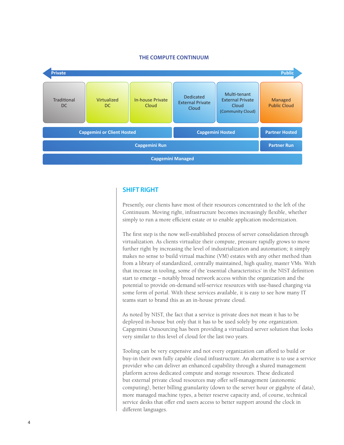

#### **THE Compute Continuum**

#### **SHift Right**

Presently, our clients have most of their resources concentrated to the left of the Continuum. Moving right, infrastructure becomes increasingly flexible, whether simply to run a more efficient estate or to enable application modernization.

The first step is the now well-established process of server consolidation through virtualization. As clients virtualize their compute, pressure rapidly grows to move further right by increasing the level of industrialization and automation; it simply makes no sense to build virtual machine (VM) estates with any other method than from a library of standardized, centrally maintained, high quality, master VMs. With that increase in tooling, some of the 'essential characteristics' in the NIST definition start to emerge – notably broad network access within the organization and the potential to provide on-demand self-service resources with use-based charging via some form of portal. With these services available, it is easy to see how many IT teams start to brand this as an in-house private cloud.

As noted by NIST, the fact that a service is private does not mean it has to be deployed in-house but only that it has to be used solely by one organization. Capgemini Outsourcing has been providing a virtualized server solution that looks very similar to this level of cloud for the last two years.

Tooling can be very expensive and not every organization can afford to build or buy-in their own fully capable cloud infrastructure. An alternative is to use a service provider who can deliver an enhanced capability through a shared management platform across dedicated compute and storage resources. These dedicated but external private cloud resources may offer self-management (autonomic computing), better billing granularity (down to the server hour or gigabyte of data), more managed machine types, a better reserve capacity and, of course, technical service desks that offer end users access to better support around the clock in different languages.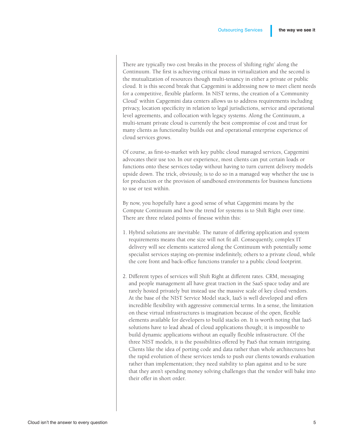There are typically two cost breaks in the process of 'shifting right' along the Continuum. The first is achieving critical mass in virtualization and the second is the mutualization of resources though multi-tenancy in either a private or public cloud. It is this second break that Capgemini is addressing now to meet client needs for a competitive, flexible platform. In NIST terms, the creation of a 'Community Cloud' within Capgemini data centers allows us to address requirements including privacy, location specificity in relation to legal jurisdictions, service and operational level agreements, and collocation with legacy systems. Along the Continuum, a multi-tenant private cloud is currently the best compromise of cost and trust for many clients as functionality builds out and operational enterprise experience of cloud services grows.

Of course, as first-to-market with key public cloud managed services, Capgemini advocates their use too. In our experience, most clients can put certain loads or functions onto these services today without having to turn current delivery models upside down. The trick, obviously, is to do so in a managed way whether the use is for production or the provision of sandboxed environments for business functions to use or test within.

By now, you hopefully have a good sense of what Capgemini means by the Compute Continuum and how the trend for systems is to Shift Right over time. There are three related points of finesse within this:

- 1. Hybrid solutions are inevitable. The nature of differing application and system requirements means that one size will not fit all. Consequently, complex IT delivery will see elements scattered along the Continuum with potentially some specialist services staying on-premise indefinitely, others to a private cloud, while the core front and back-office functions transfer to a public cloud footprint.
- 2. Different types of services will Shift Right at different rates. CRM, messaging and people management all have great traction in the SaaS space today and are rarely hosted privately but instead use the massive scale of key cloud vendors. At the base of the NIST Service Model stack, IaaS is well developed and offers incredible flexibility with aggressive commercial terms. In a sense, the limitation on these virtual infrastructures is imagination because of the open, flexible elements available for developers to build stacks on. It is worth noting that IaaS solutions have to lead ahead of cloud applications though; it is impossible to build dynamic applications without an equally flexible infrastructure. Of the three NIST models, it is the possibilities offered by PaaS that remain intriguing. Clients like the idea of porting code and data rather than whole architectures but the rapid evolution of these services tends to push our clients towards evaluation rather than implementation; they need stability to plan against and to be sure that they aren't spending money solving challenges that the vendor will bake into their offer in short order.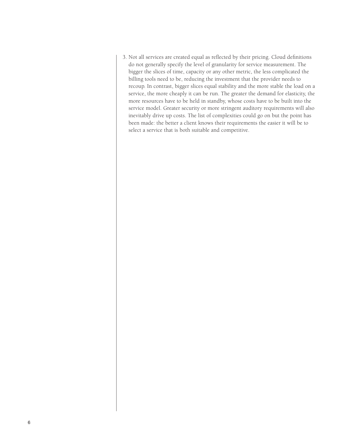3. Not all services are created equal as reflected by their pricing. Cloud definitions do not generally specify the level of granularity for service measurement. The bigger the slices of time, capacity or any other metric, the less complicated the billing tools need to be, reducing the investment that the provider needs to recoup. In contrast, bigger slices equal stability and the more stable the load on a service, the more cheaply it can be run. The greater the demand for elasticity, the more resources have to be held in standby, whose costs have to be built into the service model. Greater security or more stringent auditory requirements will also inevitably drive up costs. The list of complexities could go on but the point has been made: the better a client knows their requirements the easier it will be to select a service that is both suitable and competitive.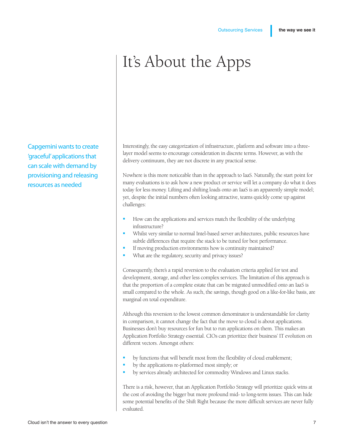## It's About the Apps

Capgemini wants to create 'graceful' applications that can scale with demand by provisioning and releasing resources as needed

Interestingly, the easy categorization of infrastructure, platform and software into a threelayer model seems to encourage consideration in discrete terms. However, as with the delivery continuum, they are not discrete in any practical sense.

Nowhere is this more noticeable than in the approach to IaaS. Naturally, the start point for many evaluations is to ask how a new product or service will let a company do what it does today for less money. Lifting and shifting loads onto an IaaS is an apparently simple model; yet, despite the initial numbers often looking attractive, teams quickly come up against challenges:

- How can the applications and services match the flexibility of the underlying infrastructure?
- Whilst very similar to normal Intel-based server architectures, public resources have subtle differences that require the stack to be tuned for best performance.
- If moving production environments how is continuity maintained?
- What are the regulatory, security and privacy issues?

Consequently, there's a rapid reversion to the evaluation criteria applied for test and development, storage, and other less complex services. The limitation of this approach is that the proportion of a complete estate that can be migrated unmodified onto an IaaS is small compared to the whole. As such, the savings, though good on a like-for-like basis, are marginal on total expenditure.

Although this reversion to the lowest common denominator is understandable for clarity in comparison, it cannot change the fact that the move to cloud is about applications. Businesses don't buy resources for fun but to run applications on them. This makes an Application Portfolio Strategy essential. CIOs can prioritize their business' IT evolution on different vectors. Amongst others:

- by functions that will benefit most from the flexibility of cloud enablement;
- by the applications re-platformed most simply; or
- by services already architected for commodity Windows and Linux stacks.

There is a risk, however, that an Application Portfolio Strategy will prioritize quick wins at the cost of avoiding the bigger but more profound mid- to long-term issues. This can hide some potential benefits of the Shift Right because the more difficult services are never fully evaluated.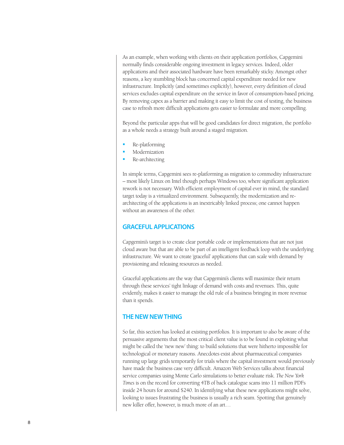As an example, when working with clients on their application portfolios, Capgemini normally finds considerable ongoing investment in legacy services. Indeed, older applications and their associated hardware have been remarkably sticky. Amongst other reasons, a key stumbling block has concerned capital expenditure needed for new infrastructure. Implicitly (and sometimes explicitly), however, every definition of cloud services excludes capital expenditure on the service in favor of consumption-based pricing. By removing capex as a barrier and making it easy to limit the cost of testing, the business case to refresh more difficult applications gets easier to formulate and more compelling.

Beyond the particular apps that will be good candidates for direct migration, the portfolio as a whole needs a strategy built around a staged migration.

- Re-platforming
- **Modernization**
- Re-architecting

In simple terms, Capgemini sees re-platforming as migration to commodity infrastructure – most likely Linux on Intel though perhaps Windows too, where significant application rework is not necessary. With efficient employment of capital ever in mind, the standard target today is a virtualized environment. Subsequently, the modernization and rearchitecting of the applications is an inextricably linked process; one cannot happen without an awareness of the other.

#### **GRACEFUL APPLICATIONS**

Capgemini's target is to create clear portable code or implementations that are not just cloud aware but that are able to be part of an intelligent feedback loop with the underlying infrastructure. We want to create 'graceful' applications that can scale with demand by provisioning and releasing resources as needed.

Graceful applications are the way that Capgemini's clients will maximize their return through these services' tight linkage of demand with costs and revenues. This, quite evidently, makes it easier to manage the old rule of a business bringing in more revenue than it spends.

#### **THE NEW NEW THING**

So far, this section has looked at existing portfolios. It is important to also be aware of the persuasive arguments that the most critical client value is to be found in exploiting what might be called the 'new new' thing: to build solutions that were hitherto impossible for technological or monetary reasons. Anecdotes exist about pharmaceutical companies running up large grids temporarily for trials where the capital investment would previously have made the business case very difficult. Amazon Web Services talks about financial service companies using Monte Carlo simulations to better evaluate risk. *The New York Times* is on the record for converting 4TB of back catalogue scans into 11 million PDFs inside 24 hours for around \$240. In identifying what these new applications might solve, looking to issues frustrating the business is usually a rich seam. Spotting that genuinely new killer offer, however, is much more of an art…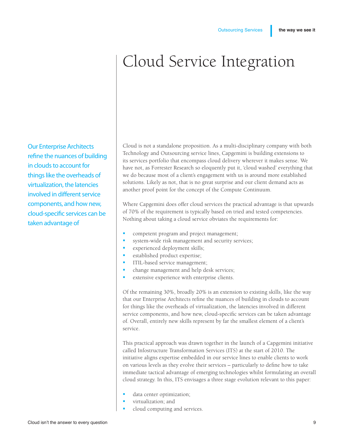## Cloud Service Integration

Our Enterprise Architects refine the nuances of building in clouds to account for things like the overheads of virtualization, the latencies involved in different service components, and how new, cloud-specific services can be taken advantage of

Cloud is not a standalone proposition. As a multi-disciplinary company with both Technology and Outsourcing service lines, Capgemini is building extensions to its services portfolio that encompass cloud delivery wherever it makes sense. We have not, as Forrester Research so eloquently put it, 'cloud washed' everything that we do because most of a client's engagement with us is around more established solutions. Likely as not, that is no great surprise and our client demand acts as another proof point for the concept of the Compute Continuum.

Where Capgemini does offer cloud services the practical advantage is that upwards of 70% of the requirement is typically based on tried and tested competencies. Nothing about taking a cloud service obviates the requirements for:

- competent program and project management;
- system-wide risk management and security services;
- experienced deployment skills;
- established product expertise;
- ITIL-based service management;
- change management and help desk services;
- extensive experience with enterprise clients.

Of the remaining 30%, broadly 20% is an extension to existing skills, like the way that our Enterprise Architects refine the nuances of building in clouds to account for things like the overheads of virtualization, the latencies involved in different service components, and how new, cloud-specific services can be taken advantage of. Overall, entirely new skills represent by far the smallest element of a client's service.

This practical approach was drawn together in the launch of a Capgemini initiative called Infostructure Transformation Services (ITS) at the start of 2010. The initiative aligns expertise embedded in our service lines to enable clients to work on various levels as they evolve their services – particularly to define how to take immediate tactical advantage of emerging technologies whilst formulating an overall cloud strategy. In this, ITS envisages a three stage evolution relevant to this paper:

- data center optimization;
- virtualization; and
- cloud computing and services.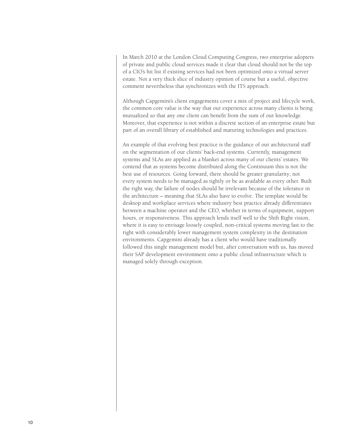In March 2010 at the London Cloud Computing Congress, two enterprise adopters of private and public cloud services made it clear that cloud should not be the top of a CIO's hit list if existing services had not been optimized onto a virtual server estate. Not a very thick slice of industry opinion of course but a useful, objective comment nevertheless that synchronizes with the ITS approach.

Although Capgemini's client engagements cover a mix of project and lifecycle work, the common core value is the way that our experience across many clients is being mutualized so that any one client can benefit from the sum of our knowledge. Moreover, that experience is not within a discrete section of an enterprise estate but part of an overall library of established and maturing technologies and practices.

An example of that evolving best practice is the guidance of our architectural staff on the segmentation of our clients' back-end systems. Currently, management systems and SLAs are applied as a blanket across many of our clients' estates. We contend that as systems become distributed along the Continuum this is not the best use of resources. Going forward, there should be greater granularity; not every system needs to be managed as tightly or be as available as every other. Built the right way, the failure of nodes should be irrelevant because of the tolerance in the architecture – meaning that SLAs also have to evolve. The template would be desktop and workplace services where industry best practice already differentiates between a machine operator and the CEO, whether in terms of equipment, support hours, or responsiveness. This approach lends itself well to the Shift Right vision, where it is easy to envisage loosely coupled, non-critical systems moving fast to the right with considerably lower management system complexity in the destination environments. Capgemini already has a client who would have traditionally followed this single management model but, after conversation with us, has moved their SAP development environment onto a public cloud infrastructure which is managed solely through exception.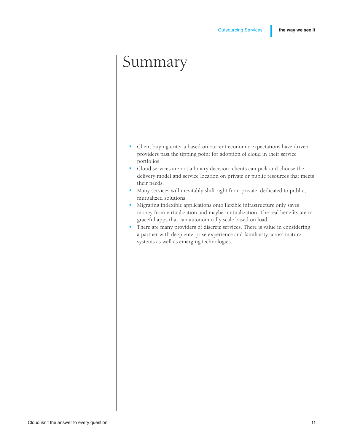### Summary

- <sup>■</sup> Client buying criteria based on current economic expectations have driven providers past the tipping point for adoption of cloud in their service portfolios.
- § Cloud services are not a binary decision, clients can pick and choose the delivery model and service location on private or public resources that meets their needs.
- Many services will inevitably shift right from private, dedicated to public, mutualized solutions.
- Migrating inflexible applications onto flexible infrastructure only saves money from virtualization and maybe mutualization. The real benefits are in graceful apps that can autonomically scale based on load.
- There are many providers of discrete services. There is value in considering a partner with deep enterprise experience and familiarity across mature systems as well as emerging technologies.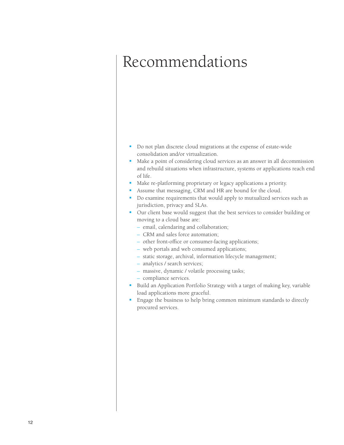### Recommendations

- Do not plan discrete cloud migrations at the expense of estate-wide consolidation and/or virtualization.
- Make a point of considering cloud services as an answer in all decommission and rebuild situations when infrastructure, systems or applications reach end of life.
- Make re-platforming proprietary or legacy applications a priority.
- Assume that messaging, CRM and HR are bound for the cloud.
- Do examine requirements that would apply to mutualized services such as jurisdiction, privacy and SLAs.
- Our client base would suggest that the best services to consider building or moving to a cloud base are:
	- email, calendaring and collaboration;
	- CRM and sales force automation;
	- other front-office or consumer-facing applications;
	- web portals and web consumed applications;
	- static storage, archival, information lifecycle management;
	- analytics / search services;
	- massive, dynamic / volatile processing tasks;
	- compliance services.
- Build an Application Portfolio Strategy with a target of making key, variable load applications more graceful.
- Engage the business to help bring common minimum standards to directly procured services.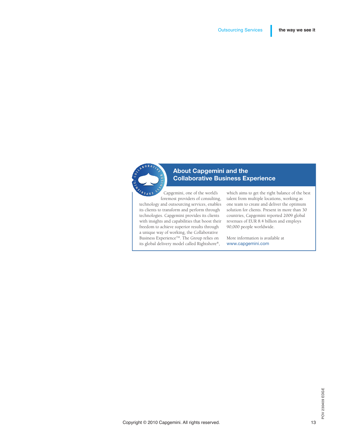

### About Capgemini and the Collaborative Business Experience

Capgemini, one of the world's foremost providers of consulting, technology and outsourcing services, enables its clients to transform and perform through technologies. Capgemini provides its clients with insights and capabilities that boost their freedom to achieve superior results through a unique way of working, the Collaborative Business Experience<sup>™</sup>. The Group relies on its global delivery model called Rightshore®,

which aims to get the right balance of the best talent from multiple locations, working as one team to create and deliver the optimum solution for clients. Present in more than 30 countries, Capgemini reported 2009 global revenues of EUR 8.4 billion and employs 90,000 people worldwide.

More information is available at www.capgemini.com